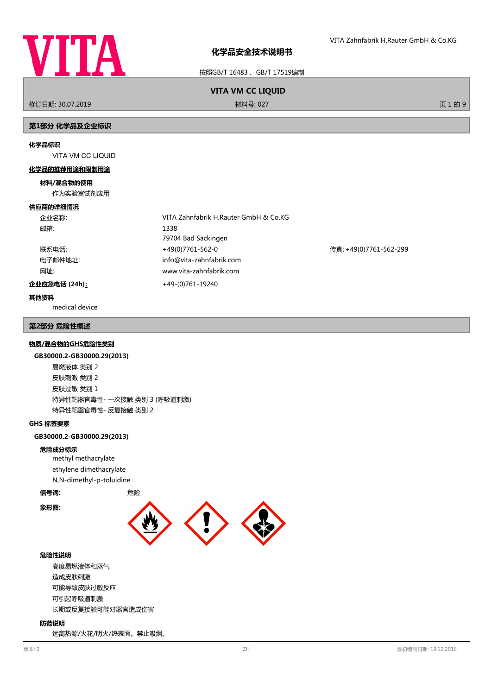

按照GB/T 16483 、GB/T 17519编制

# **VITA VM CC LIQUID**

修订日期: 30.07.2019 材料号: 027 页 1 的 9

## **第1部分 化学品及企业标识**

#### **化学品标识**

VITA VM CC LIQUID

#### **化学品的推荐用途和限制用途**

#### **材料/混合物的使用**

作为实验室试剂应用

#### **供应商的详细情况**

| 企业名称:         | VITA Zahnfabrik H.Rauter GmbH & Co.KG |                        |
|---------------|---------------------------------------|------------------------|
| 邮箱:           | 1338                                  |                        |
|               | 79704 Bad Säckingen                   |                        |
| 联系电话:         | +49(0)7761-562-0                      | 传真: +49(0)7761-562-299 |
| 电子邮件地址:       | info@vita-zahnfabrik.com              |                        |
| 网址:           | www.vita-zahnfabrik.com               |                        |
| 企业应急电话 (24h): | +49-(0)761-19240                      |                        |

## **其他资料**

medical device

## **第2部分 危险性概述**

#### **物质/混合物的GHS危险性类别**

#### **GB30000.2-GB30000.29(2013)**

易燃液体 类别 2 皮肤刺激 类别 2 皮肤过敏 类别 1 特异性靶器官毒性- 一次接触 类别 3 (呼吸道刺激) 特异性靶器官毒性- 反复接触 类别 2

## **GHS 标签要素**

**GB30000.2-GB30000.29(2013)**

## **危险成分标示**

methyl methacrylate ethylene dimethacrylate N,N-dimethyl-p-toluidine

#### **信号词:** 危险

**象形图:**



## **危险性说明**

高度易燃液体和蒸气 造成皮肤刺激 可能导致皮肤过敏反应 可引起呼吸道刺激 长期或反复接触可能对器官造成伤害

## **防范说明**

远离热源/火花/明火/热表面。禁止吸烟。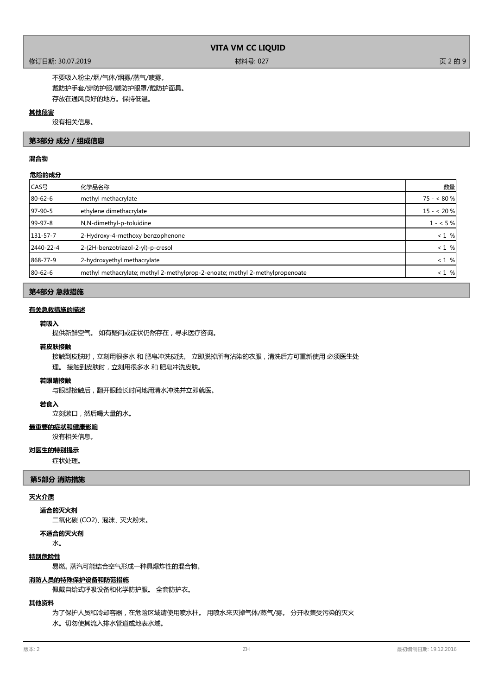## 修订日期: 30.07.2019 材料号: 027 页 2 的 9

不要吸入粉尘/烟/气体/烟雾/蒸气/啧雾。 戴防护手套/穿防护服/戴防护眼罩/戴防护面具。 存放在通风良好的地方。保持低温。

## **其他危害**

没有相关信息。

## **第3部分 成分/组成信息**

## **混合物**

## **危险的成分**

| 化学品名称                                                                        | 数量         |
|------------------------------------------------------------------------------|------------|
| methyl methacrylate                                                          | $75 - 80%$ |
| ethylene dimethacrylate                                                      | $15 - 20%$ |
| N,N-dimethyl-p-toluidine                                                     | $1 - 5%$   |
| 2-Hydroxy-4-methoxy benzophenone                                             | $< 1 \%$   |
| 2-(2H-benzotriazol-2-yl)-p-cresol                                            | $<1%$      |
| 2-hydroxyethyl methacrylate                                                  | $< 1 \%$   |
| methyl methacrylate; methyl 2-methylprop-2-enoate; methyl 2-methylpropenoate | $<1%$      |
|                                                                              |            |

## **第4部分 急救措施**

## **有关急救措施的描述**

## **若吸入**

提供新鲜空气。 如有疑问或症状仍然存在,寻求医疗咨询。

#### **若皮肤接触**

接触到皮肤时,立刻用很多水和肥皂冲洗皮肤。 立即脱掉所有沾染的衣服,清洗后方可重新使用 必须医生处 理。 接触到皮肤时,立刻用很多水 和 肥皂冲洗皮肤。

## **若眼睛接触**

与眼部接触后,翻开眼睑长时间地用清水冲洗并立即就医。

## **若食入**

立刻漱口,然后喝大量的水。

## **最重要的症状和健康影响**

没有相关信息。

### **对医生的特别提示**

症状处理。

## **第5部分 消防措施**

#### **灭火介质**

**适合的灭火剂**

二氧化碳 (CO2)、 泡沫、 灭火粉末。

**不适合的灭火剂**

水。

## **特别危险性**

易燃。 蒸汽可能结合空气形成一种具爆炸性的混合物。

# **消防人员的特殊保护设备和防范措施**

佩戴自给式呼吸设备和化学防护服。 全套防护衣。

# **其他资料**

为了保护人员和冷却容器,在危险区域请使用喷水柱。 用喷水来灭掉气体/蒸气/雾。 分开收集受污染的灭火 水。切勿使其流入排水管道或地表水域。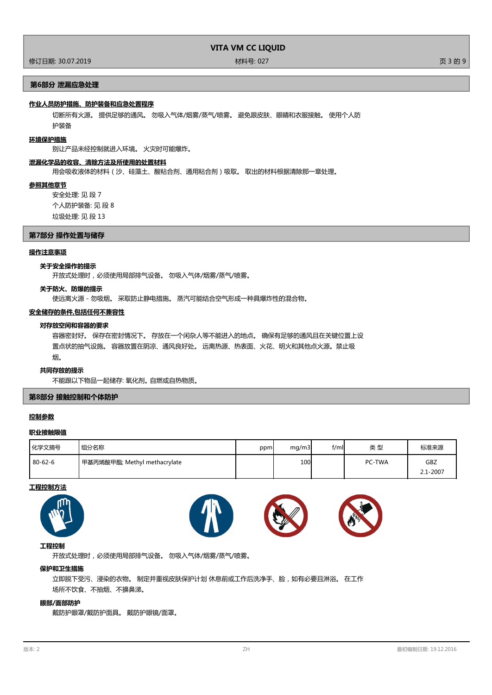修订日期: 30.07.2019 材料号: 027 页 3 的 9

## **第6部分 泄漏应急处理**

#### **作业人员防护措施、防护装备和应急处置程序**

切断所有火源。 提供足够的通风。 勿吸入气体/烟雾/蒸气/喷雾。 避免跟皮肤、眼睛和衣服接触。 使用个人防 护装备

## **环境保护措施**

别让产品未经控制就进入环境。 火灾时可能爆炸。

#### **泄漏化学品的收容、清除方法及所使用的处置材料**

用会吸收液体的材料(沙、硅藻土、酸粘合剂、通用粘合剂)吸取。 取出的材料根据清除那一章处理。

#### **参照其他章节**

安全处理: 见 段 7 个人防护装备: 见 段 8 垃圾处理: 见 段 13

### **第7部分 操作处置与储存**

#### **操作注意事项**

#### **关于安全操作的提示**

开放式处理时,必须使用局部排气设备。 勿吸入气体/烟雾/蒸气/喷雾。

#### **关于防火、防爆的提示**

使远离火源 - 勿吸烟。 采取防止静电措施。 蒸汽可能结合空气形成一种具爆炸性的混合物。

## **安全储存的条件,包括任何不兼容性**

## **对存放空间和容器的要求**

容器密封好。 保存在密封情况下。 存放在一个闲杂人等不能进入的地点。 确保有足够的通风且在关键位置上设 置点状的抽气设施。 容器放置在阴凉、通风良好处。 远离热源、热表面、火花、明火和其他点火源。禁止吸 烟。

#### **共同存放的提示**

不能跟以下物品一起储存: 氧化剂。 自燃或自热物质。

## **第8部分 接触控制和个体防护**

#### **控制参数**

## **职业接触限值**

| 化学文摘号         | 组分名称                         | ppm | mq/m3 | f/ml | 类型            | 标准来源         |
|---------------|------------------------------|-----|-------|------|---------------|--------------|
| $80 - 62 - 6$ | 甲基丙烯酸甲酯; Methyl methacrylate |     | 100   |      | <b>PC-TWA</b> | GBZ          |
|               |                              |     |       |      |               | $2.1 - 2007$ |

#### **工程控制方法**









# **工程控制**

开放式处理时,必须使用局部排气设备。 勿吸入气体/烟雾/蒸气/喷雾。

## **保护和卫生措施**

立即脱下受污、浸染的衣物。 制定并重视皮肤保护计划 休息前或工作后洗净手、脸,如有必要且淋浴。 在工作 场所不饮食、不抽烟、不擤鼻涕。

## **眼部/面部防护**

戴防护眼罩/戴防护面具。 戴防护眼镜/面罩。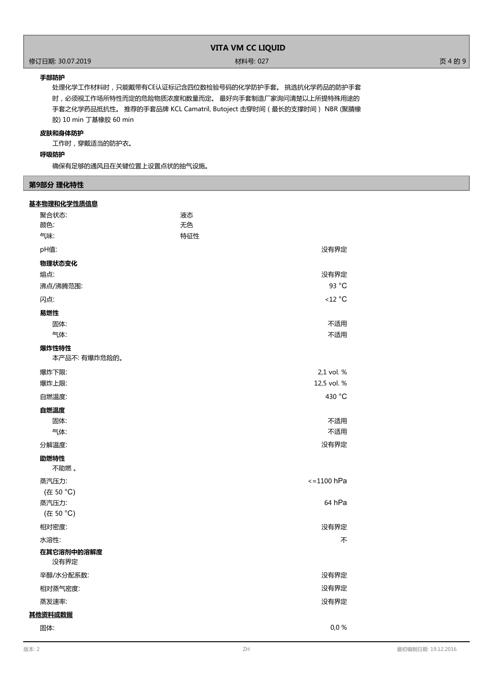# 作了<br>1998年 - 1999年 - 1999年 - 1999年 - 1999年 - 1999年 - 1999年 - 1999年 - 1999年 - 1999年 - 1999年 - 1999年 - 1999年 - 1999年<br>1999年 - 1999年 - 1999年 - 1999年 - 1999年 - 1999年 - 1999年 - 1999年 - 1999年 - 1999年 - 1999年 - 1999年 - 1999年 - 199

## **手部防护**

处理化学工作材料时,只能戴带有CE认证标记含四位数检验号码的化学防护手套。 挑选抗化学药品的防护手套 时,必须视工作场所特性而定的危险物质浓度和数量而定。 最好向手套制造厂家询问清楚以上所提特殊用途的 手套之化学药品抵抗性。 推荐的手套品牌 KCL Camatril, Butoject 击穿时间(最长的支撑时间) NBR (聚腈橡 胶) 10 min 丁基橡胶 60 min

## **皮肤和身体防护**

工作时,穿戴适当的防护衣。

## **呼吸防护**

确保有足够的通风且在关键位置上设置点状的抽气设施。

## **第9部分 理化特性**

| 基本物理和化学性质信息 |
|-------------|
|             |

| 聚合状态:                  | 液态  |                     |
|------------------------|-----|---------------------|
| 颜色:                    | 无色  |                     |
| 气味:                    | 特征性 |                     |
| pH值:                   |     | 没有界定                |
| 物理状态变化                 |     |                     |
| 熔点:                    |     | 没有界定                |
| 沸点/沸腾范围:               |     | 93 °C               |
| 闪点:                    |     | $<$ 12 $^{\circ}$ C |
| 易燃性                    |     |                     |
| 固体:                    |     | 不适用                 |
| 气体:                    |     | 不适用                 |
| 爆炸性特性<br>本产品不: 有爆炸危险的。 |     |                     |
| 爆炸下限:                  |     | 2,1 vol. %          |
| 爆炸上限:                  |     | 12,5 vol. %         |
| 自燃温度:                  |     | 430 °C              |
| 自燃温度                   |     |                     |
| 固体:                    |     | 不适用                 |
| 气体:                    |     | 不适用                 |
| 分解温度:                  |     | 没有界定                |
| 助燃特性<br>不助燃。           |     |                     |
| 蒸汽压力:                  |     | $\le$ = 1100 hPa    |
| (在 50 °C)              |     |                     |
| 蒸汽压力:                  |     | 64 hPa              |
| (在 50 °C)              |     |                     |
| 相对密度:                  |     | 没有界定                |
| 水溶性:                   |     | 不                   |
| 在其它溶剂中的溶解度<br>没有界定     |     |                     |
| 辛醇/水分配系数:              |     | 没有界定                |
| 相对蒸气密度:                |     | 没有界定                |
| 蒸发速率:                  |     | 没有界定                |
| 其他资料或数据                |     |                     |
| 固体:                    |     | 0.0%                |
|                        |     |                     |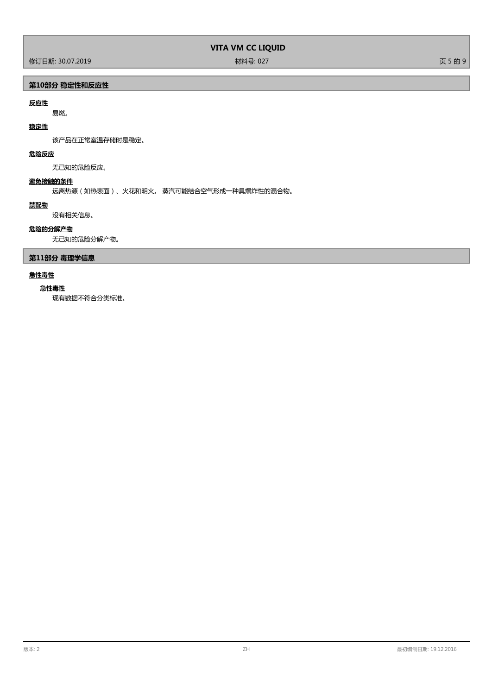修订日期: 30.07.2019 材料号: 027 页 5 的 9

# **第10部分 稳定性和反应性**

# **反应性**

易燃。

# **稳定性**

该产品在正常室温存储时是稳定。

# **危险反应**

无已知的危险反应。

## **避免接触的条件**

远离热源(如热表面)、火花和明火。 蒸汽可能结合空气形成一种具爆炸性的混合物。

## **禁配物**

没有相关信息。

## **危险的分解产物**

无已知的危险分解产物。

# **第11部分 毒理学信息**

# **急性毒性**

## **急性毒性**

现有数据不符合分类标准。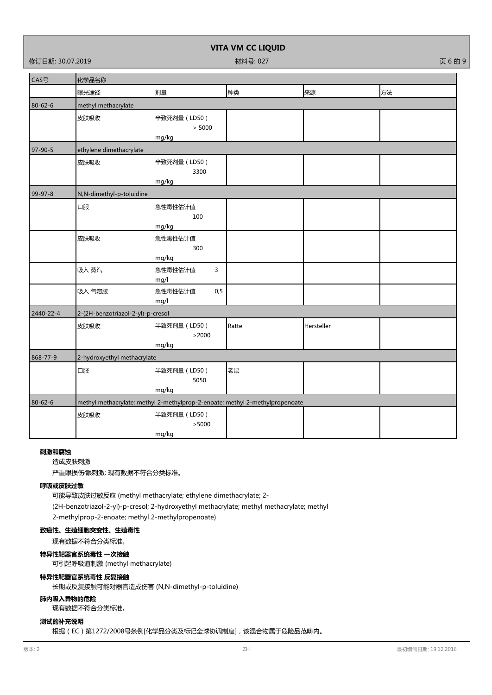修订日期: 30.07.2019 材料号: 027 页 6 的 9

**VITA VM CC LIQUID**

| CAS号          | 化学品名称                             |                         |                                                                              |            |    |
|---------------|-----------------------------------|-------------------------|------------------------------------------------------------------------------|------------|----|
|               | 曝光途径                              | 剂量                      | 种类                                                                           | 来源         | 方法 |
| 80-62-6       | methyl methacrylate               |                         |                                                                              |            |    |
|               | 皮肤吸收                              | 半致死剂量 (LD50)            |                                                                              |            |    |
|               |                                   | > 5000                  |                                                                              |            |    |
|               |                                   | mg/kg                   |                                                                              |            |    |
| $97 - 90 - 5$ | ethylene dimethacrylate           |                         |                                                                              |            |    |
|               | 皮肤吸收                              | 半致死剂量 (LD50)            |                                                                              |            |    |
|               |                                   | 3300<br>mg/kg           |                                                                              |            |    |
| 99-97-8       | N,N-dimethyl-p-toluidine          |                         |                                                                              |            |    |
|               | 口服                                | 急性毒性估计值                 |                                                                              |            |    |
|               |                                   | 100                     |                                                                              |            |    |
|               |                                   | mg/kg                   |                                                                              |            |    |
|               | 皮肤吸收                              | 急性毒性估计值                 |                                                                              |            |    |
|               |                                   | 300                     |                                                                              |            |    |
|               |                                   | mg/kg                   |                                                                              |            |    |
|               | 吸入 蒸汽                             | 急性毒性估计值<br>3            |                                                                              |            |    |
|               |                                   | mg/l                    |                                                                              |            |    |
|               | 吸入 气溶胶                            | 急性毒性估计值<br>0, 5<br>mg/l |                                                                              |            |    |
| 2440-22-4     | 2-(2H-benzotriazol-2-yl)-p-cresol |                         |                                                                              |            |    |
|               | 皮肤吸收                              | 半致死剂量 (LD50)            | Ratte                                                                        | Hersteller |    |
|               |                                   | >2000                   |                                                                              |            |    |
|               |                                   | mg/kg                   |                                                                              |            |    |
| 868-77-9      | 2-hydroxyethyl methacrylate       |                         |                                                                              |            |    |
|               | 口服                                | 半致死剂量 (LD50)            | 老鼠                                                                           |            |    |
|               |                                   | 5050                    |                                                                              |            |    |
|               |                                   | mg/kg                   |                                                                              |            |    |
| 80-62-6       |                                   |                         | methyl methacrylate; methyl 2-methylprop-2-enoate; methyl 2-methylpropenoate |            |    |
|               | 皮肤吸收                              | 半致死剂量 (LD50)            |                                                                              |            |    |
|               |                                   | >5000                   |                                                                              |            |    |
|               |                                   | mg/kg                   |                                                                              |            |    |

## **刺激和腐蚀**

造成皮肤刺激

严重眼损伤∕眼刺激: 现有数据不符合分类标准。

# **呼吸或皮肤过敏**

可能导致皮肤过敏反应 (methyl methacrylate; ethylene dimethacrylate; 2- (2H-benzotriazol-2-yl)-p-cresol; 2-hydroxyethyl methacrylate; methyl methacrylate; methyl

2-methylprop-2-enoate; methyl 2-methylpropenoate)

# **致癌性、生殖细胞突变性、生殖毒性**

现有数据不符合分类标准。

## **特异性靶器官系统毒性 一次接触**

可引起呼吸道刺激 (methyl methacrylate)

### **特异性靶器官系统毒性 反复接触**

长期或反复接触可能对器官造成伤害 (N,N-dimethyl-p-toluidine)

## **肺内吸入异物的危险**

现有数据不符合分类标准。

## **测试的补充说明**

根据(EC)第1272/2008号条例[化学品分类及标记全球协调制度],该混合物属于危险品范畴内。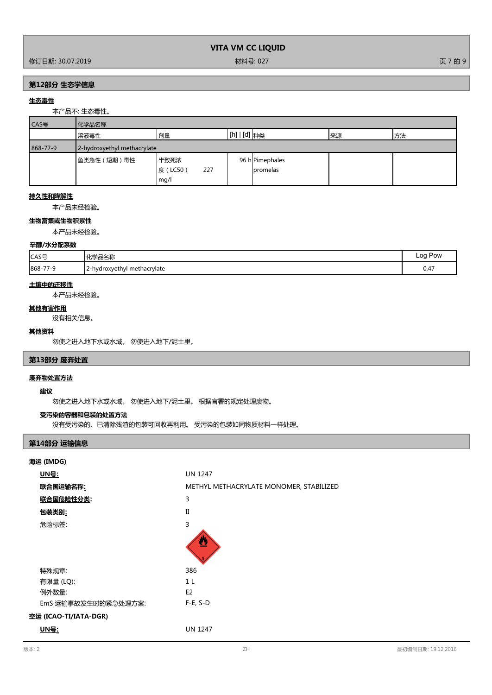| VITA VM CC LIQUID |  |  |
|-------------------|--|--|
|-------------------|--|--|

修订日期: 30.07.2019 材料号: 027 页 7 的 9

## **第12部分 生态学信息**

## **生态毒性**

本产品不: 生态毒性。

| CAS号     | 化学品名称                       |                 |                                          |    |    |
|----------|-----------------------------|-----------------|------------------------------------------|----|----|
|          | 溶液毒性                        | 剂量              | $\lfloor$ [h] $\lfloor$ [d] $\rfloor$ 种类 | 来源 | 方法 |
| 868-77-9 | 2-hydroxyethyl methacrylate |                 |                                          |    |    |
|          | 鱼类急性 ( 短期 ) 毒性              | 半致死浓            | 96 hPimephales                           |    |    |
|          |                             | 度 (LC50)<br>227 | <b>I</b> promelas                        |    |    |
|          |                             | mg/l            |                                          |    |    |

## **持久性和降解性**

本产品未经检验。

## **生物富集或生物积累性**

本产品未经检验。

## **辛醇/水分配系数**

| CAS号                   | * ル当ロクチ<br>⊐₩                   | $\alpha$<br>Pow                       |
|------------------------|---------------------------------|---------------------------------------|
| 868-7<br>ے /<br>$\sim$ | -hydroxyethyl<br>1 methacrylate | $\overline{\phantom{a}}$<br>$v, \tau$ |

## **土壤中的迁移性**

本产品未经检验。

#### **其他有害作用**

没有相关信息。

#### **其他资料**

勿使之进入地下水或水域。 勿使进入地下/泥土里。

# **第13部分 废弃处置**

## **废弃物处置方法**

## **建议**

勿使之进入地下水或水域。 勿使进入地下/泥土里。 根据官署的规定处理废物。

## **受污染的容器和包装的处置方法**

没有受污染的、已清除残渣的包装可回收再利用。 受污染的包装如同物质材料一样处理。

# **第14部分 运输信息**

| 海运 (IMDG)             |                                         |
|-----------------------|-----------------------------------------|
| <u> UN号:</u>          | <b>UN 1247</b>                          |
| 联合国运输名称:              | METHYL METHACRYLATE MONOMER, STABILIZED |
| 联合国危险性分类:             | 3                                       |
| <u>包装类别:</u>          | $\Pi$                                   |
| 危险标签:                 | 3                                       |
|                       |                                         |
| 特殊规章:                 | 386                                     |
| 有限量 (LQ):             | 1 <sub>L</sub>                          |
| 例外数量:                 | E <sub>2</sub>                          |
| EmS 运输事故发生时的紧急处理方案:   | $F-E, S-D$                              |
| 空运 (ICAO-TI/IATA-DGR) |                                         |
| <u>UN号</u> :          | <b>UN 1247</b>                          |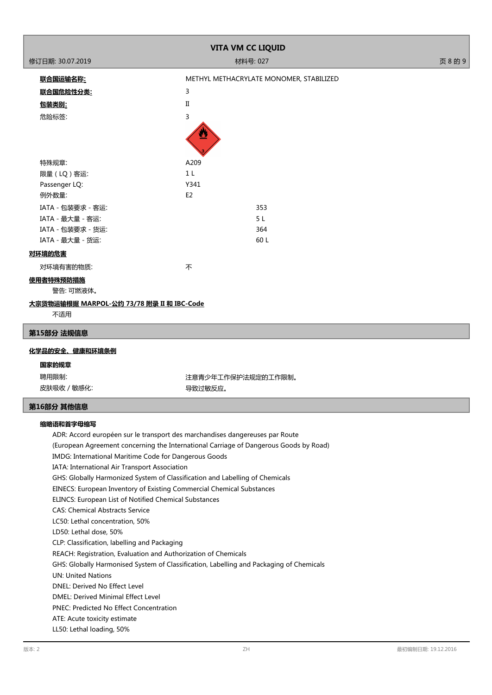|                                                                                                                | <b>VITA VM CC LIQUID</b>                                                              |         |
|----------------------------------------------------------------------------------------------------------------|---------------------------------------------------------------------------------------|---------|
| 修订日期: 30.07.2019                                                                                               | 材料号: 027                                                                              | 页 8 的 9 |
|                                                                                                                | METHYL METHACRYLATE MONOMER, STABILIZED                                               |         |
| <u> 联合国运输名称:</u>                                                                                               |                                                                                       |         |
| <u> 联合国危险性分类:</u>                                                                                              | 3                                                                                     |         |
| <u>包装类别:</u>                                                                                                   | $\rm II$                                                                              |         |
| 危险标签:                                                                                                          | 3                                                                                     |         |
|                                                                                                                |                                                                                       |         |
| 特殊规章:                                                                                                          | A209                                                                                  |         |
| 限量 (LQ) 客运:                                                                                                    | 1 <sub>L</sub>                                                                        |         |
| Passenger LQ:                                                                                                  | Y341                                                                                  |         |
| 例外数量:                                                                                                          | E <sub>2</sub>                                                                        |         |
| IATA - 包装要求 - 客运:                                                                                              | 353                                                                                   |         |
| IATA - 最大量 - 客运:                                                                                               | 5 L                                                                                   |         |
| IATA - 包装要求 - 货运:                                                                                              | 364                                                                                   |         |
| IATA - 最大量 - 货运:                                                                                               | 60 L                                                                                  |         |
| 对环境的危害                                                                                                         |                                                                                       |         |
| 对环境有害的物质:                                                                                                      | 不                                                                                     |         |
| 使用者特殊预防措施<br>警告: 可燃液体。                                                                                         |                                                                                       |         |
| <u>大宗货物运输根据 MARPOL-公约 73/78 附录 II 和 IBC-Code</u>                                                               |                                                                                       |         |
| 不适用                                                                                                            |                                                                                       |         |
| 第15部分 法规信息                                                                                                     |                                                                                       |         |
| 化学品的安全、健康和环境条例                                                                                                 |                                                                                       |         |
| 国家的规章                                                                                                          |                                                                                       |         |
| 聘用限制:                                                                                                          | 注意青少年工作保护法规定的工作限制。                                                                    |         |
| 皮肤吸收 / 敏感化:                                                                                                    | 导致过敏反应。                                                                               |         |
| 第16部分 其他信息                                                                                                     |                                                                                       |         |
| 缩略语和首字母缩写                                                                                                      |                                                                                       |         |
| ADR: Accord européen sur le transport des marchandises dangereuses par Route                                   |                                                                                       |         |
|                                                                                                                | (European Agreement concerning the International Carriage of Dangerous Goods by Road) |         |
| IMDG: International Maritime Code for Dangerous Goods                                                          |                                                                                       |         |
| IATA: International Air Transport Association                                                                  |                                                                                       |         |
| GHS: Globally Harmonized System of Classification and Labelling of Chemicals                                   |                                                                                       |         |
| EINECS: European Inventory of Existing Commercial Chemical Substances                                          |                                                                                       |         |
| ELINCS: European List of Notified Chemical Substances                                                          |                                                                                       |         |
| <b>CAS: Chemical Abstracts Service</b>                                                                         |                                                                                       |         |
| LC50: Lethal concentration, 50%                                                                                |                                                                                       |         |
| LD50: Lethal dose, 50%                                                                                         |                                                                                       |         |
| CLP: Classification, labelling and Packaging<br>REACH: Registration, Evaluation and Authorization of Chemicals |                                                                                       |         |
|                                                                                                                | CUC: Clabelly Harmoniced System of Classification Labelling and Deckening of Chamical |         |

GHS: Globally Harmonised System of Classification, Labelling and Packaging of Chemicals

UN: United Nations

DNEL: Derived No Effect Level

DMEL: Derived Minimal Effect Level

PNEC: Predicted No Effect Concentration

ATE: Acute toxicity estimate

LL50: Lethal loading, 50%